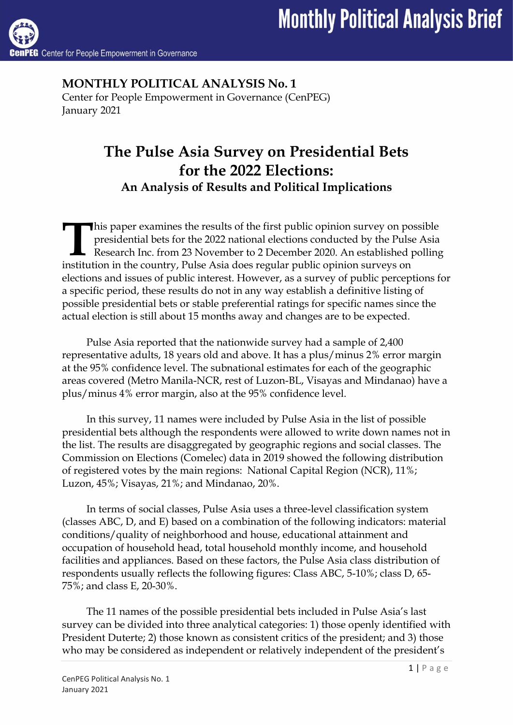**MONTHLY POLITICAL ANALYSIS No. 1** Center for People Empowerment in Governance (CenPEG) January 2021

# **The Pulse Asia Survey on Presidential Bets for the 2022 Elections: An Analysis of Results and Political Implications**

his paper examines the results of the first public opinion survey on possible presidential bets for the 2022 national elections conducted by the Pulse Asia Research Inc. from 23 November to 2 December 2020. An established polling In this paper examines the results of the first public opinion survey on po<br>presidential bets for the 2022 national elections conducted by the Pulse<br>Research Inc. from 23 November to 2 December 2020. An established point<br>i elections and issues of public interest. However, as a survey of public perceptions for a specific period, these results do not in any way establish a definitive listing of possible presidential bets or stable preferential ratings for specific names since the actual election is still about 15 months away and changes are to be expected.

Pulse Asia reported that the nationwide survey had a sample of 2,400 representative adults, 18 years old and above. It has a plus/minus 2% error margin at the 95% confidence level. The subnational estimates for each of the geographic areas covered (Metro Manila-NCR, rest of Luzon-BL, Visayas and Mindanao) have a plus/minus 4% error margin, also at the 95% confidence level.

In this survey, 11 names were included by Pulse Asia in the list of possible presidential bets although the respondents were allowed to write down names not in the list. The results are disaggregated by geographic regions and social classes. The Commission on Elections (Comelec) data in 2019 showed the following distribution of registered votes by the main regions: National Capital Region (NCR), 11%; Luzon, 45%; Visayas, 21%; and Mindanao, 20%.

In terms of social classes, Pulse Asia uses a three-level classification system (classes ABC, D, and E) based on a combination of the following indicators: material conditions/quality of neighborhood and house, educational attainment and occupation of household head, total household monthly income, and household facilities and appliances. Based on these factors, the Pulse Asia class distribution of respondents usually reflects the following figures: Class ABC, 5-10%; class D, 65- 75%; and class E, 20-30%.

The 11 names of the possible presidential bets included in Pulse Asia's last survey can be divided into three analytical categories: 1) those openly identified with President Duterte; 2) those known as consistent critics of the president; and 3) those who may be considered as independent or relatively independent of the president's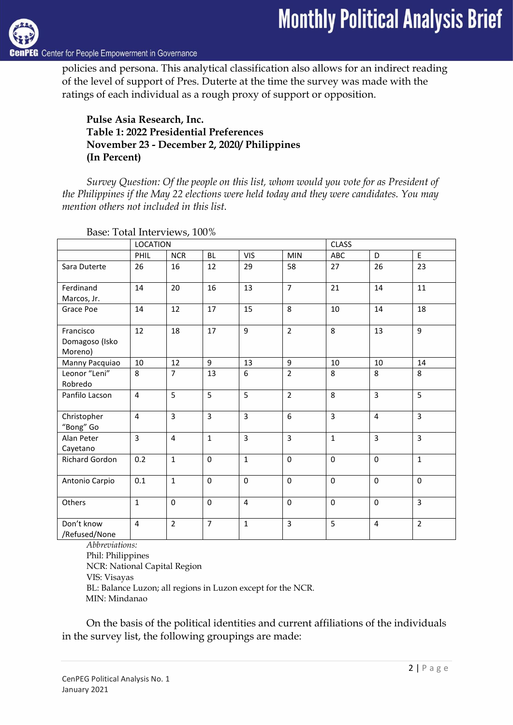

G Center for People Empowerment in Governance

policies and persona. This analytical classification also allows for an indirect reading of the level of support of Pres. Duterte at the time the survey was made with the ratings of each individual as a rough proxy of support or opposition.

#### **Pulse Asia Research, Inc. Table 1: 2022 Presidential Preferences November 23 - December 2, 2020/ Philippines (In Percent)**

*Survey Question: Of the people on this list, whom would you vote for as President of the Philippines if the May 22 elections were held today and they were candidates. You may mention others not included in this list.*

|                                                           | <b>LOCATION</b> |                |                |                |                | <b>CLASS</b>   |                |                |
|-----------------------------------------------------------|-----------------|----------------|----------------|----------------|----------------|----------------|----------------|----------------|
|                                                           | PHIL            | <b>NCR</b>     | <b>BL</b>      | <b>VIS</b>     | <b>MIN</b>     | ABC            | D              | E              |
| Sara Duterte                                              | 26              | 16             | 12             | 29             | 58             | 27             | 26             | 23             |
| Ferdinand<br>Marcos, Jr.                                  | 14              | 20             | 16             | 13             | $\overline{7}$ | 21             | 14             | 11             |
| Grace Poe                                                 | 14              | 12             | 17             | 15             | 8              | 10             | 14             | 18             |
| Francisco<br>Domagoso (Isko<br>Moreno)                    | 12              | 18             | 17             | 9              | $\overline{2}$ | 8              | 13             | $\overline{9}$ |
| Manny Pacquiao                                            | 10              | 12             | 9              | 13             | 9              | 10             | 10             | 14             |
| Leonor "Leni"<br>Robredo                                  | 8               | $\overline{7}$ | 13             | 6              | $\overline{2}$ | 8              | 8              | 8              |
| Panfilo Lacson                                            | $\overline{4}$  | 5              | 5              | 5              | $\overline{2}$ | 8              | $\overline{3}$ | $\overline{5}$ |
| Christopher<br>"Bong" Go                                  | $\overline{4}$  | $\overline{3}$ | $\overline{3}$ | 3              | 6              | $\overline{3}$ | $\overline{4}$ | $\overline{3}$ |
| Alan Peter<br>Cayetano                                    | $\overline{3}$  | $\overline{4}$ | $\mathbf{1}$   | $\overline{3}$ | $\overline{3}$ | $\mathbf{1}$   | $\overline{3}$ | $\overline{3}$ |
| Richard Gordon                                            | 0.2             | $\mathbf{1}$   | $\mathbf 0$    | $\mathbf{1}$   | $\mathbf 0$    | $\mathbf 0$    | $\mathbf 0$    | $\mathbf{1}$   |
| Antonio Carpio                                            | 0.1             | $\mathbf{1}$   | $\mathbf 0$    | $\Omega$       | $\mathbf 0$    | $\mathbf 0$    | $\mathbf 0$    | $\mathbf 0$    |
| Others                                                    | $\mathbf{1}$    | 0              | $\mathbf 0$    | 4              | $\mathbf 0$    | $\mathbf 0$    | $\Omega$       | $\overline{3}$ |
| Don't know<br>/Refused/None<br>$\overline{1}$<br>$\cdots$ | $\overline{4}$  | $\overline{2}$ | $\overline{7}$ | $\mathbf{1}$   | $\overline{3}$ | 5              | $\overline{4}$ | $\overline{2}$ |

Base: Total Interviews, 100%

*Abbreviations:*

Phil: Philippines NCR: National Capital Region VIS: Visayas BL: Balance Luzon; all regions in Luzon except for the NCR. MIN: Mindanao

On the basis of the political identities and current affiliations of the individuals in the survey list, the following groupings are made: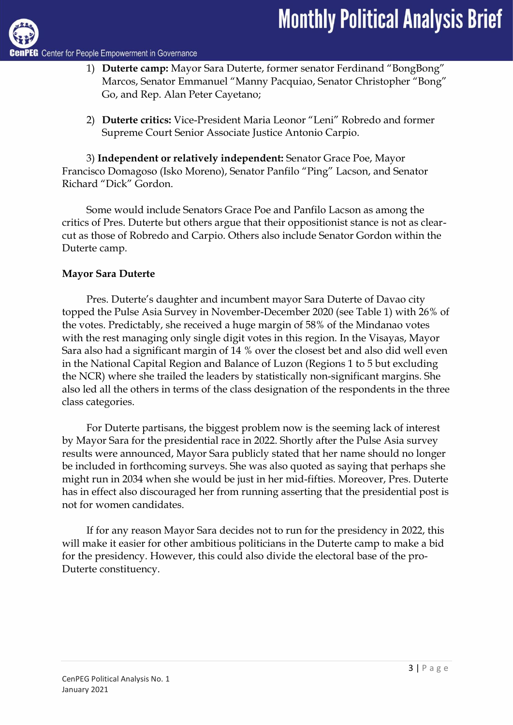- 1) **Duterte camp:** Mayor Sara Duterte, former senator Ferdinand "BongBong" Marcos, Senator Emmanuel "Manny Pacquiao, Senator Christopher "Bong" Go, and Rep. Alan Peter Cayetano;
- 2) **Duterte critics:** Vice-President Maria Leonor "Leni" Robredo and former Supreme Court Senior Associate Justice Antonio Carpio.

3) **Independent or relatively independent:** Senator Grace Poe, Mayor Francisco Domagoso (Isko Moreno), Senator Panfilo "Ping" Lacson, and Senator Richard "Dick" Gordon.

Some would include Senators Grace Poe and Panfilo Lacson as among the critics of Pres. Duterte but others argue that their oppositionist stance is not as clearcut as those of Robredo and Carpio. Others also include Senator Gordon within the Duterte camp.

# **Mayor Sara Duterte**

Pres. Duterte's daughter and incumbent mayor Sara Duterte of Davao city topped the Pulse Asia Survey in November-December 2020 (see Table 1) with 26% of the votes. Predictably, she received a huge margin of 58% of the Mindanao votes with the rest managing only single digit votes in this region. In the Visayas, Mayor Sara also had a significant margin of 14 % over the closest bet and also did well even in the National Capital Region and Balance of Luzon (Regions 1 to 5 but excluding the NCR) where she trailed the leaders by statistically non-significant margins. She also led all the others in terms of the class designation of the respondents in the three class categories.

For Duterte partisans, the biggest problem now is the seeming lack of interest by Mayor Sara for the presidential race in 2022. Shortly after the Pulse Asia survey results were announced, Mayor Sara publicly stated that her name should no longer be included in forthcoming surveys. She was also quoted as saying that perhaps she might run in 2034 when she would be just in her mid-fifties. Moreover, Pres. Duterte has in effect also discouraged her from running asserting that the presidential post is not for women candidates.

If for any reason Mayor Sara decides not to run for the presidency in 2022, this will make it easier for other ambitious politicians in the Duterte camp to make a bid for the presidency. However, this could also divide the electoral base of the pro-Duterte constituency.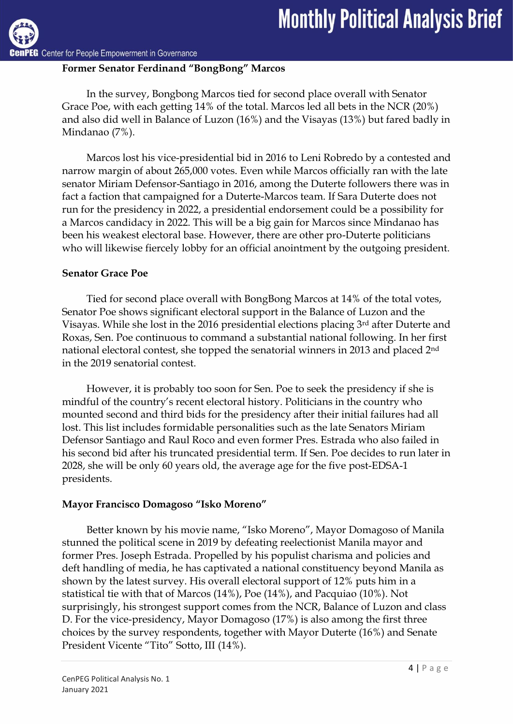**G** Center for People Empowerment in Governance

# **Former Senator Ferdinand "BongBong" Marcos**

In the survey, Bongbong Marcos tied for second place overall with Senator Grace Poe, with each getting 14% of the total. Marcos led all bets in the NCR (20%) and also did well in Balance of Luzon (16%) and the Visayas (13%) but fared badly in Mindanao (7%).

Marcos lost his vice-presidential bid in 2016 to Leni Robredo by a contested and narrow margin of about 265,000 votes. Even while Marcos officially ran with the late senator Miriam Defensor-Santiago in 2016, among the Duterte followers there was in fact a faction that campaigned for a Duterte-Marcos team. If Sara Duterte does not run for the presidency in 2022, a presidential endorsement could be a possibility for a Marcos candidacy in 2022. This will be a big gain for Marcos since Mindanao has been his weakest electoral base. However, there are other pro-Duterte politicians who will likewise fiercely lobby for an official anointment by the outgoing president.

# **Senator Grace Poe**

Tied for second place overall with BongBong Marcos at 14% of the total votes, Senator Poe shows significant electoral support in the Balance of Luzon and the Visayas. While she lost in the 2016 presidential elections placing 3rd after Duterte and Roxas, Sen. Poe continuous to command a substantial national following. In her first national electoral contest, she topped the senatorial winners in 2013 and placed 2nd in the 2019 senatorial contest.

However, it is probably too soon for Sen. Poe to seek the presidency if she is mindful of the country's recent electoral history. Politicians in the country who mounted second and third bids for the presidency after their initial failures had all lost. This list includes formidable personalities such as the late Senators Miriam Defensor Santiago and Raul Roco and even former Pres. Estrada who also failed in his second bid after his truncated presidential term. If Sen. Poe decides to run later in 2028, she will be only 60 years old, the average age for the five post-EDSA-1 presidents.

# **Mayor Francisco Domagoso "Isko Moreno"**

Better known by his movie name, "Isko Moreno", Mayor Domagoso of Manila stunned the political scene in 2019 by defeating reelectionist Manila mayor and former Pres. Joseph Estrada. Propelled by his populist charisma and policies and deft handling of media, he has captivated a national constituency beyond Manila as shown by the latest survey. His overall electoral support of 12% puts him in a statistical tie with that of Marcos (14%), Poe (14%), and Pacquiao (10%). Not surprisingly, his strongest support comes from the NCR, Balance of Luzon and class D. For the vice-presidency, Mayor Domagoso (17%) is also among the first three choices by the survey respondents, together with Mayor Duterte (16%) and Senate President Vicente "Tito" Sotto, III (14%).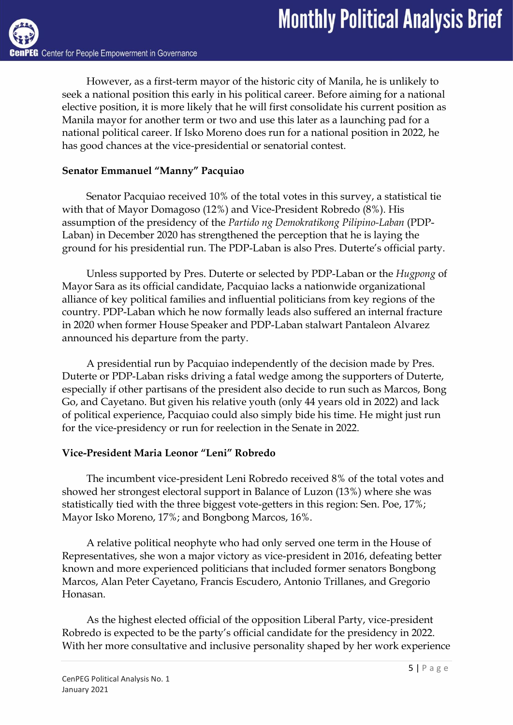However, as a first-term mayor of the historic city of Manila, he is unlikely to seek a national position this early in his political career. Before aiming for a national elective position, it is more likely that he will first consolidate his current position as Manila mayor for another term or two and use this later as a launching pad for a national political career. If Isko Moreno does run for a national position in 2022, he has good chances at the vice-presidential or senatorial contest.

# **Senator Emmanuel "Manny" Pacquiao**

Senator Pacquiao received 10% of the total votes in this survey, a statistical tie with that of Mayor Domagoso (12%) and Vice-President Robredo (8%). His assumption of the presidency of the *Partido ng Demokratikong Pilipino-Laban* (PDP-Laban) in December 2020 has strengthened the perception that he is laying the ground for his presidential run. The PDP-Laban is also Pres. Duterte's official party.

Unless supported by Pres. Duterte or selected by PDP-Laban or the *Hugpong* of Mayor Sara as its official candidate, Pacquiao lacks a nationwide organizational alliance of key political families and influential politicians from key regions of the country. PDP-Laban which he now formally leads also suffered an internal fracture in 2020 when former House Speaker and PDP-Laban stalwart Pantaleon Alvarez announced his departure from the party.

A presidential run by Pacquiao independently of the decision made by Pres. Duterte or PDP-Laban risks driving a fatal wedge among the supporters of Duterte, especially if other partisans of the president also decide to run such as Marcos, Bong Go, and Cayetano. But given his relative youth (only 44 years old in 2022) and lack of political experience, Pacquiao could also simply bide his time. He might just run for the vice-presidency or run for reelection in the Senate in 2022.

## **Vice-President Maria Leonor "Leni" Robredo**

The incumbent vice-president Leni Robredo received 8% of the total votes and showed her strongest electoral support in Balance of Luzon (13%) where she was statistically tied with the three biggest vote-getters in this region: Sen. Poe, 17%; Mayor Isko Moreno, 17%; and Bongbong Marcos, 16%.

A relative political neophyte who had only served one term in the House of Representatives, she won a major victory as vice-president in 2016, defeating better known and more experienced politicians that included former senators Bongbong Marcos, Alan Peter Cayetano, Francis Escudero, Antonio Trillanes, and Gregorio Honasan.

As the highest elected official of the opposition Liberal Party, vice-president Robredo is expected to be the party's official candidate for the presidency in 2022. With her more consultative and inclusive personality shaped by her work experience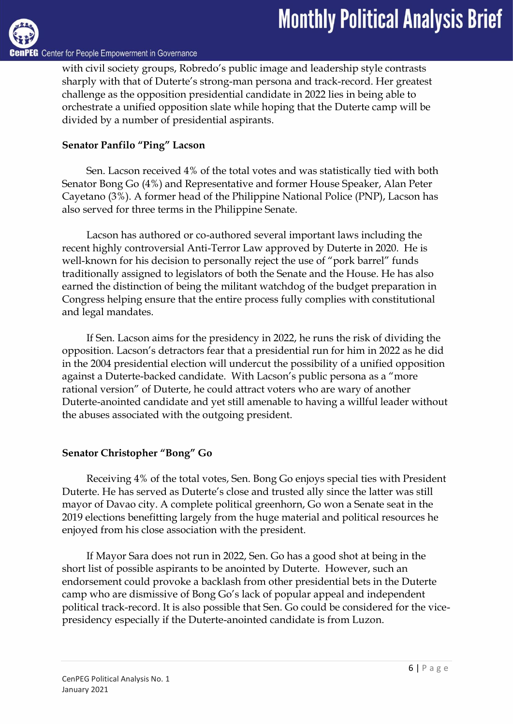Center for People Empowerment in Governance

with civil society groups, Robredo's public image and leadership style contrasts sharply with that of Duterte's strong-man persona and track-record. Her greatest challenge as the opposition presidential candidate in 2022 lies in being able to orchestrate a unified opposition slate while hoping that the Duterte camp will be divided by a number of presidential aspirants.

# **Senator Panfilo "Ping" Lacson**

Sen. Lacson received 4% of the total votes and was statistically tied with both Senator Bong Go (4%) and Representative and former House Speaker, Alan Peter Cayetano (3%). A former head of the Philippine National Police (PNP), Lacson has also served for three terms in the Philippine Senate.

Lacson has authored or co-authored several important laws including the recent highly controversial Anti-Terror Law approved by Duterte in 2020. He is well-known for his decision to personally reject the use of "pork barrel" funds traditionally assigned to legislators of both the Senate and the House. He has also earned the distinction of being the militant watchdog of the budget preparation in Congress helping ensure that the entire process fully complies with constitutional and legal mandates.

If Sen. Lacson aims for the presidency in 2022, he runs the risk of dividing the opposition. Lacson's detractors fear that a presidential run for him in 2022 as he did in the 2004 presidential election will undercut the possibility of a unified opposition against a Duterte-backed candidate. With Lacson's public persona as a "more rational version" of Duterte, he could attract voters who are wary of another Duterte-anointed candidate and yet still amenable to having a willful leader without the abuses associated with the outgoing president.

## **Senator Christopher "Bong" Go**

Receiving 4% of the total votes, Sen. Bong Go enjoys special ties with President Duterte. He has served as Duterte's close and trusted ally since the latter was still mayor of Davao city. A complete political greenhorn, Go won a Senate seat in the 2019 elections benefitting largely from the huge material and political resources he enjoyed from his close association with the president.

If Mayor Sara does not run in 2022, Sen. Go has a good shot at being in the short list of possible aspirants to be anointed by Duterte. However, such an endorsement could provoke a backlash from other presidential bets in the Duterte camp who are dismissive of Bong Go's lack of popular appeal and independent political track-record. It is also possible that Sen. Go could be considered for the vicepresidency especially if the Duterte-anointed candidate is from Luzon.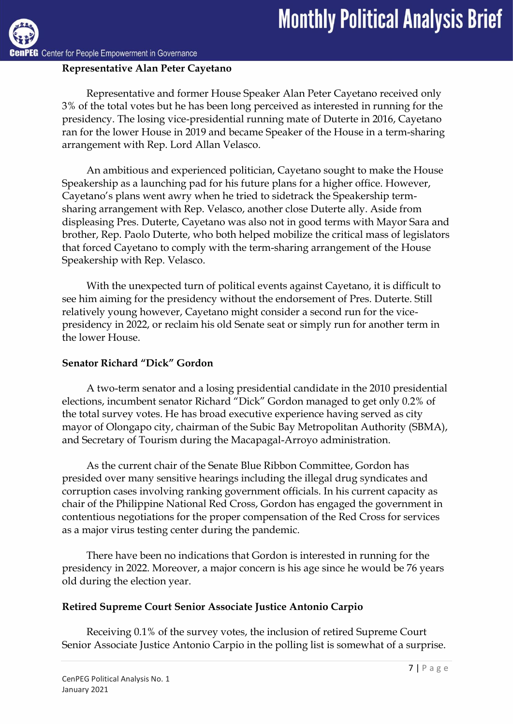Center for People Empowerment in Governance

# **Representative Alan Peter Cayetano**

Representative and former House Speaker Alan Peter Cayetano received only 3% of the total votes but he has been long perceived as interested in running for the presidency. The losing vice-presidential running mate of Duterte in 2016, Cayetano ran for the lower House in 2019 and became Speaker of the House in a term-sharing arrangement with Rep. Lord Allan Velasco.

An ambitious and experienced politician, Cayetano sought to make the House Speakership as a launching pad for his future plans for a higher office. However, Cayetano's plans went awry when he tried to sidetrack the Speakership termsharing arrangement with Rep. Velasco, another close Duterte ally. Aside from displeasing Pres. Duterte, Cayetano was also not in good terms with Mayor Sara and brother, Rep. Paolo Duterte, who both helped mobilize the critical mass of legislators that forced Cayetano to comply with the term-sharing arrangement of the House Speakership with Rep. Velasco.

With the unexpected turn of political events against Cayetano, it is difficult to see him aiming for the presidency without the endorsement of Pres. Duterte. Still relatively young however, Cayetano might consider a second run for the vicepresidency in 2022, or reclaim his old Senate seat or simply run for another term in the lower House.

# **Senator Richard "Dick" Gordon**

A two-term senator and a losing presidential candidate in the 2010 presidential elections, incumbent senator Richard "Dick" Gordon managed to get only 0.2% of the total survey votes. He has broad executive experience having served as city mayor of Olongapo city, chairman of the Subic Bay Metropolitan Authority (SBMA), and Secretary of Tourism during the Macapagal-Arroyo administration.

As the current chair of the Senate Blue Ribbon Committee, Gordon has presided over many sensitive hearings including the illegal drug syndicates and corruption cases involving ranking government officials. In his current capacity as chair of the Philippine National Red Cross, Gordon has engaged the government in contentious negotiations for the proper compensation of the Red Cross for services as a major virus testing center during the pandemic.

There have been no indications that Gordon is interested in running for the presidency in 2022. Moreover, a major concern is his age since he would be 76 years old during the election year.

## **Retired Supreme Court Senior Associate Justice Antonio Carpio**

Receiving 0.1% of the survey votes, the inclusion of retired Supreme Court Senior Associate Justice Antonio Carpio in the polling list is somewhat of a surprise.